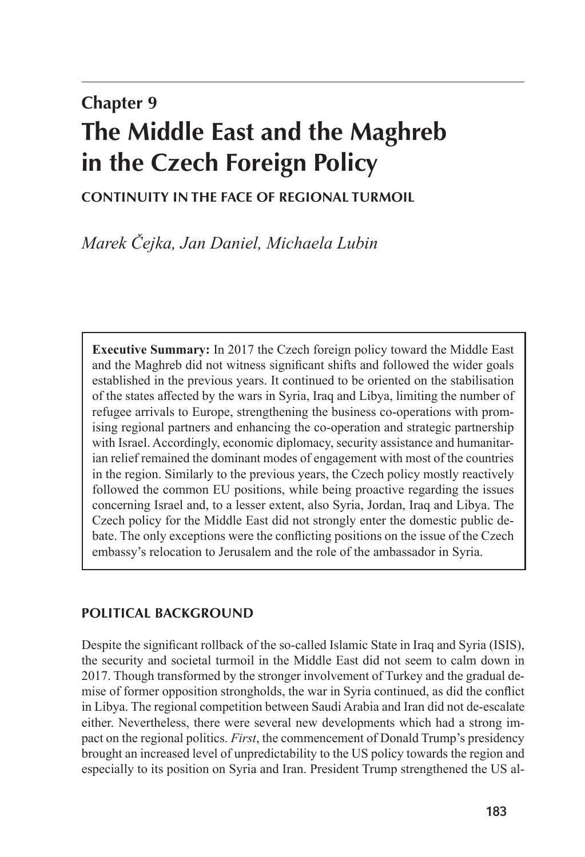# **Chapter 9 The Middle East and the Maghreb in the Czech Foreign Policy**

# **CONTINUITY IN THE FACE OF REGIONAL TURMOIL**

*Marek Čejka, Jan Daniel, Michaela Lubin*

**Executive Summary:** In 2017 the Czech foreign policy toward the Middle East and the Maghreb did not witness significant shifts and followed the wider goals established in the previous years. It continued to be oriented on the stabilisation of the states affected by the wars in Syria, Iraq and Libya, limiting the number of refugee arrivals to Europe, strengthening the business co-operations with promising regional partners and enhancing the co-operation and strategic partnership with Israel. Accordingly, economic diplomacy, security assistance and humanitarian relief remained the dominant modes of engagement with most of the countries in the region. Similarly to the previous years, the Czech policy mostly reactively followed the common EU positions, while being proactive regarding the issues concerning Israel and, to a lesser extent, also Syria, Jordan, Iraq and Libya. The Czech policy for the Middle East did not strongly enter the domestic public debate. The only exceptions were the conflicting positions on the issue of the Czech embassy's relocation to Jerusalem and the role of the ambassador in Syria.

## **POLITICAL BACKGROUND**

Despite the significant rollback of the so-called Islamic State in Iraq and Syria (ISIS), the security and societal turmoil in the Middle East did not seem to calm down in 2017. Though transformed by the stronger involvement of Turkey and the gradual demise of former opposition strongholds, the war in Syria continued, as did the conflict in Libya. The regional competition between Saudi Arabia and Iran did not de-escalate either. Nevertheless, there were several new developments which had a strong impact on the regional politics. *First*, the commencement of Donald Trump's presidency brought an increased level of unpredictability to the US policy towards the region and especially to its position on Syria and Iran. President Trump strengthened the US al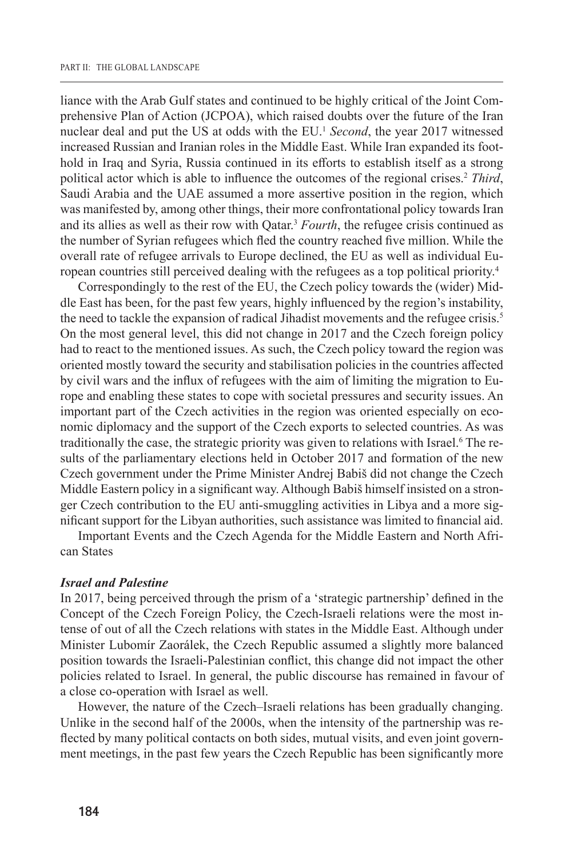liance with the Arab Gulf states and continued to be highly critical of the Joint Comprehensive Plan of Action (JCPOA), which raised doubts over the future of the Iran nuclear deal and put the US at odds with the EU.<sup>1</sup> *Second*, the year 2017 witnessed increased Russian and Iranian roles in the Middle East. While Iran expanded its foothold in Iraq and Syria, Russia continued in its efforts to establish itself as a strong political actor which is able to influence the outcomes of the regional crises.<sup>2</sup> *Third*, Saudi Arabia and the UAE assumed a more assertive position in the region, which was manifested by, among other things, their more confrontational policy towards Iran and its allies as well as their row with Qatar.3 *Fourth*, the refugee crisis continued as the number of Syrian refugees which fled the country reached five million. While the overall rate of refugee arrivals to Europe declined, the EU as well as individual European countries still perceived dealing with the refugees as a top political priority.4

Correspondingly to the rest of the EU, the Czech policy towards the (wider) Middle East has been, for the past few years, highly influenced by the region's instability, the need to tackle the expansion of radical Jihadist movements and the refugee crisis.<sup>5</sup> On the most general level, this did not change in 2017 and the Czech foreign policy had to react to the mentioned issues. As such, the Czech policy toward the region was oriented mostly toward the security and stabilisation policies in the countries affected by civil wars and the influx of refugees with the aim of limiting the migration to Europe and enabling these states to cope with societal pressures and security issues. An important part of the Czech activities in the region was oriented especially on economic diplomacy and the support of the Czech exports to selected countries. As was traditionally the case, the strategic priority was given to relations with Israel.<sup>6</sup> The results of the parliamentary elections held in October 2017 and formation of the new Czech government under the Prime Minister Andrej Babiš did not change the Czech Middle Eastern policy in a significant way. Although Babiš himself insisted on a stronger Czech contribution to the EU anti-smuggling activities in Libya and a more significant support for the Libyan authorities, such assistance was limited to financial aid.

Important Events and the Czech Agenda for the Middle Eastern and North African States

### *Israel and Palestine*

In 2017, being perceived through the prism of a 'strategic partnership' defined in the Concept of the Czech Foreign Policy, the Czech-Israeli relations were the most intense of out of all the Czech relations with states in the Middle East. Although under Minister Lubomír Zaorálek, the Czech Republic assumed a slightly more balanced position towards the Israeli-Palestinian conflict, this change did not impact the other policies related to Israel. In general, the public discourse has remained in favour of a close co-operation with Israel as well.

However, the nature of the Czech–Israeli relations has been gradually changing. Unlike in the second half of the 2000s, when the intensity of the partnership was reflected by many political contacts on both sides, mutual visits, and even joint government meetings, in the past few years the Czech Republic has been significantly more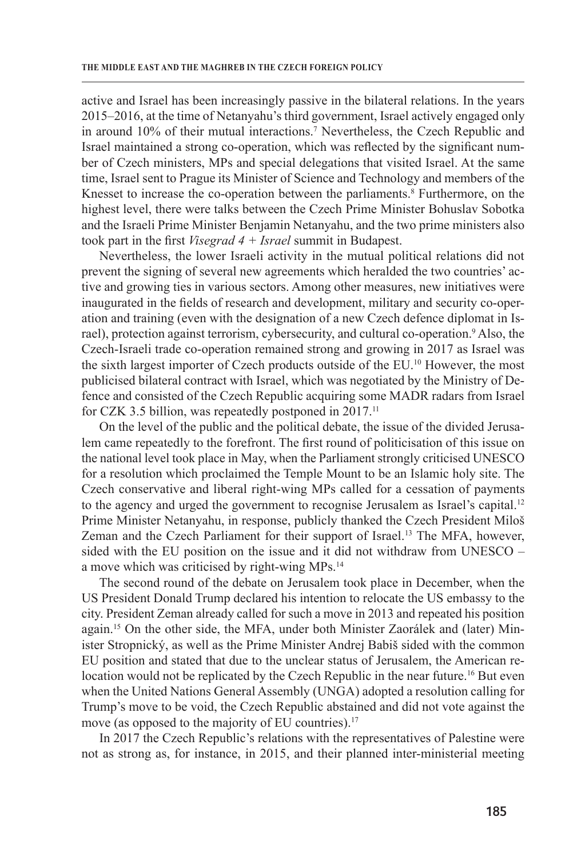active and Israel has been increasingly passive in the bilateral relations. In the years 2015–2016, at the time of Netanyahu's third government, Israel actively engaged only in around 10% of their mutual interactions.7 Nevertheless, the Czech Republic and Israel maintained a strong co-operation, which was reflected by the significant number of Czech ministers, MPs and special delegations that visited Israel. At the same time, Israel sent to Prague its Minister of Science and Technology and members of the Knesset to increase the co-operation between the parliaments.<sup>8</sup> Furthermore, on the highest level, there were talks between the Czech Prime Minister Bohuslav Sobotka and the Israeli Prime Minister Benjamin Netanyahu, and the two prime ministers also took part in the first *Visegrad 4 + Israel* summit in Budapest.

Nevertheless, the lower Israeli activity in the mutual political relations did not prevent the signing of several new agreements which heralded the two countries' active and growing ties in various sectors. Among other measures, new initiatives were inaugurated in the fields of research and development, military and security co-operation and training (even with the designation of a new Czech defence diplomat in Israel), protection against terrorism, cybersecurity, and cultural co-operation.<sup>9</sup> Also, the Czech-Israeli trade co-operation remained strong and growing in 2017 as Israel was the sixth largest importer of Czech products outside of the EU.10 However, the most publicised bilateral contract with Israel, which was negotiated by the Ministry of Defence and consisted of the Czech Republic acquiring some MADR radars from Israel for CZK 3.5 billion, was repeatedly postponed in 2017.<sup>11</sup>

On the level of the public and the political debate, the issue of the divided Jerusalem came repeatedly to the forefront. The first round of politicisation of this issue on the national level took place in May, when the Parliament strongly criticised UNESCO for a resolution which proclaimed the Temple Mount to be an Islamic holy site. The Czech conservative and liberal right-wing MPs called for a cessation of payments to the agency and urged the government to recognise Jerusalem as Israel's capital.<sup>12</sup> Prime Minister Netanyahu, in response, publicly thanked the Czech President Miloš Zeman and the Czech Parliament for their support of Israel.<sup>13</sup> The MFA, however, sided with the EU position on the issue and it did not withdraw from UNESCO – a move which was criticised by right-wing MPs.14

The second round of the debate on Jerusalem took place in December, when the US President Donald Trump declared his intention to relocate the US embassy to the city. President Zeman already called for such a move in 2013 and repeated his position again.15 On the other side, the MFA, under both Minister Zaorálek and (later) Minister Stropnický, as well as the Prime Minister Andrej Babiš sided with the common EU position and stated that due to the unclear status of Jerusalem, the American relocation would not be replicated by the Czech Republic in the near future.<sup>16</sup> But even when the United Nations General Assembly (UNGA) adopted a resolution calling for Trump's move to be void, the Czech Republic abstained and did not vote against the move (as opposed to the majority of EU countries).<sup>17</sup>

In 2017 the Czech Republic's relations with the representatives of Palestine were not as strong as, for instance, in 2015, and their planned inter-ministerial meeting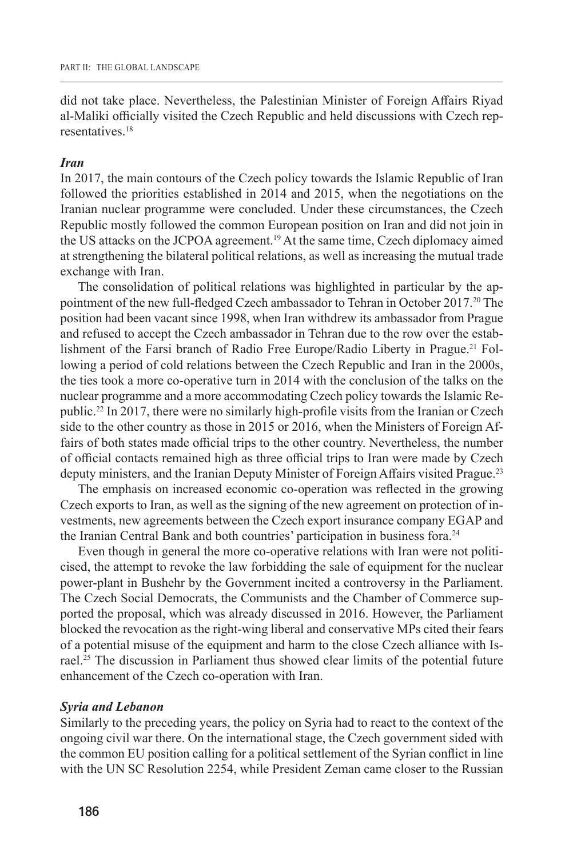did not take place. Nevertheless, the Palestinian Minister of Foreign Affairs Riyad al-Maliki officially visited the Czech Republic and held discussions with Czech representatives<sup>18</sup>

#### *Iran*

In 2017, the main contours of the Czech policy towards the Islamic Republic of Iran followed the priorities established in 2014 and 2015, when the negotiations on the Iranian nuclear programme were concluded. Under these circumstances, the Czech Republic mostly followed the common European position on Iran and did not join in the US attacks on the JCPOA agreement.<sup>19</sup> At the same time, Czech diplomacy aimed at strengthening the bilateral political relations, as well as increasing the mutual trade exchange with Iran.

The consolidation of political relations was highlighted in particular by the appointment of the new full-fledged Czech ambassador to Tehran in October 2017.<sup>20</sup> The position had been vacant since 1998, when Iran withdrew its ambassador from Prague and refused to accept the Czech ambassador in Tehran due to the row over the establishment of the Farsi branch of Radio Free Europe/Radio Liberty in Prague.21 Following a period of cold relations between the Czech Republic and Iran in the 2000s, the ties took a more co-operative turn in 2014 with the conclusion of the talks on the nuclear programme and a more accommodating Czech policy towards the Islamic Republic.22 In 2017, there were no similarly high-profile visits from the Iranian or Czech side to the other country as those in 2015 or 2016, when the Ministers of Foreign Affairs of both states made official trips to the other country. Nevertheless, the number of official contacts remained high as three official trips to Iran were made by Czech deputy ministers, and the Iranian Deputy Minister of Foreign Affairs visited Prague.<sup>23</sup>

The emphasis on increased economic co-operation was reflected in the growing Czech exports to Iran, as well as the signing of the new agreement on protection of investments, new agreements between the Czech export insurance company EGAP and the Iranian Central Bank and both countries' participation in business fora.<sup>24</sup>

Even though in general the more co-operative relations with Iran were not politicised, the attempt to revoke the law forbidding the sale of equipment for the nuclear power-plant in Bushehr by the Government incited a controversy in the Parliament. The Czech Social Democrats, the Communists and the Chamber of Commerce supported the proposal, which was already discussed in 2016. However, the Parliament blocked the revocation as the right-wing liberal and conservative MPs cited their fears of a potential misuse of the equipment and harm to the close Czech alliance with Israel.<sup>25</sup> The discussion in Parliament thus showed clear limits of the potential future enhancement of the Czech co-operation with Iran.

#### *Syria and Lebanon*

Similarly to the preceding years, the policy on Syria had to react to the context of the ongoing civil war there. On the international stage, the Czech government sided with the common EU position calling for a political settlement of the Syrian conflict in line with the UN SC Resolution 2254, while President Zeman came closer to the Russian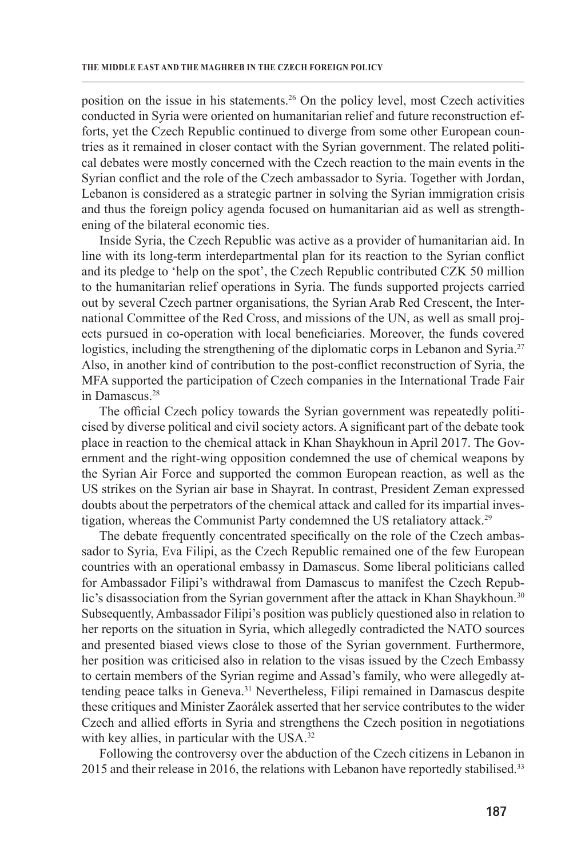position on the issue in his statements.26 On the policy level, most Czech activities conducted in Syria were oriented on humanitarian relief and future reconstruction efforts, yet the Czech Republic continued to diverge from some other European countries as it remained in closer contact with the Syrian government. The related political debates were mostly concerned with the Czech reaction to the main events in the Syrian conflict and the role of the Czech ambassador to Syria. Together with Jordan, Lebanon is considered as a strategic partner in solving the Syrian immigration crisis and thus the foreign policy agenda focused on humanitarian aid as well as strengthening of the bilateral economic ties.

Inside Syria, the Czech Republic was active as a provider of humanitarian aid. In line with its long-term interdepartmental plan for its reaction to the Syrian conflict and its pledge to 'help on the spot', the Czech Republic contributed CZK 50 million to the humanitarian relief operations in Syria. The funds supported projects carried out by several Czech partner organisations, the Syrian Arab Red Crescent, the International Committee of the Red Cross, and missions of the UN, as well as small projects pursued in co-operation with local beneficiaries. Moreover, the funds covered logistics, including the strengthening of the diplomatic corps in Lebanon and Syria.<sup>27</sup> Also, in another kind of contribution to the post-conflict reconstruction of Syria, the MFA supported the participation of Czech companies in the International Trade Fair in Damascus.28

The official Czech policy towards the Syrian government was repeatedly politicised by diverse political and civil society actors. A significant part of the debate took place in reaction to the chemical attack in Khan Shaykhoun in April 2017. The Government and the right-wing opposition condemned the use of chemical weapons by the Syrian Air Force and supported the common European reaction, as well as the US strikes on the Syrian air base in Shayrat. In contrast, President Zeman expressed doubts about the perpetrators of the chemical attack and called for its impartial investigation, whereas the Communist Party condemned the US retaliatory attack.<sup>29</sup>

The debate frequently concentrated specifically on the role of the Czech ambassador to Syria, Eva Filipi, as the Czech Republic remained one of the few European countries with an operational embassy in Damascus. Some liberal politicians called for Ambassador Filipi's withdrawal from Damascus to manifest the Czech Republic's disassociation from the Syrian government after the attack in Khan Shaykhoun.<sup>30</sup> Subsequently, Ambassador Filipi's position was publicly questioned also in relation to her reports on the situation in Syria, which allegedly contradicted the NATO sources and presented biased views close to those of the Syrian government. Furthermore, her position was criticised also in relation to the visas issued by the Czech Embassy to certain members of the Syrian regime and Assad's family, who were allegedly attending peace talks in Geneva.31 Nevertheless, Filipi remained in Damascus despite these critiques and Minister Zaorálek asserted that her service contributes to the wider Czech and allied efforts in Syria and strengthens the Czech position in negotiations with key allies, in particular with the USA.<sup>32</sup>

Following the controversy over the abduction of the Czech citizens in Lebanon in 2015 and their release in 2016, the relations with Lebanon have reportedly stabilised.<sup>33</sup>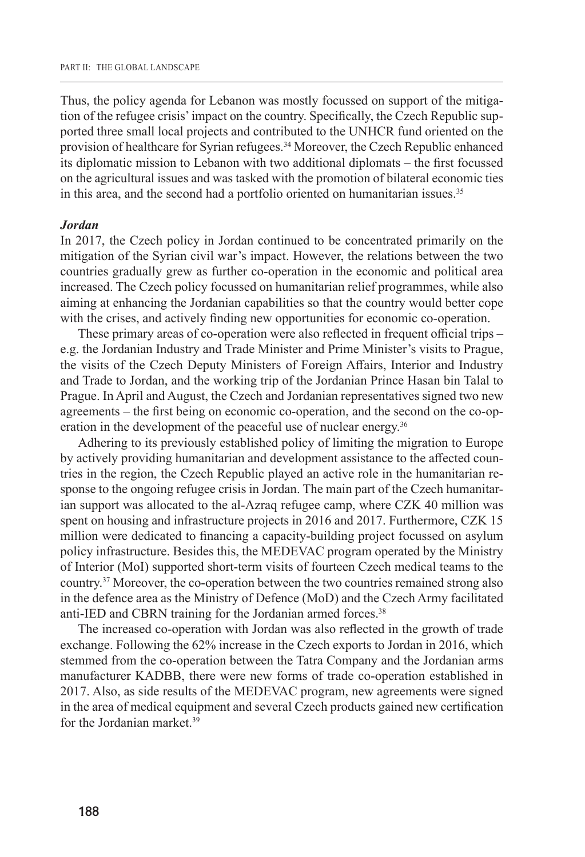Thus, the policy agenda for Lebanon was mostly focussed on support of the mitigation of the refugee crisis' impact on the country. Specifically, the Czech Republic supported three small local projects and contributed to the UNHCR fund oriented on the provision of healthcare for Syrian refugees.<sup>34</sup> Moreover, the Czech Republic enhanced its diplomatic mission to Lebanon with two additional diplomats – the first focussed on the agricultural issues and was tasked with the promotion of bilateral economic ties in this area, and the second had a portfolio oriented on humanitarian issues.<sup>35</sup>

#### *Jordan*

In 2017, the Czech policy in Jordan continued to be concentrated primarily on the mitigation of the Syrian civil war's impact. However, the relations between the two countries gradually grew as further co-operation in the economic and political area increased. The Czech policy focussed on humanitarian relief programmes, while also aiming at enhancing the Jordanian capabilities so that the country would better cope with the crises, and actively finding new opportunities for economic co-operation.

These primary areas of co-operation were also reflected in frequent official trips – e.g. the Jordanian Industry and Trade Minister and Prime Minister's visits to Prague, the visits of the Czech Deputy Ministers of Foreign Affairs, Interior and Industry and Trade to Jordan, and the working trip of the Jordanian Prince Hasan bin Talal to Prague. In April and August, the Czech and Jordanian representatives signed two new agreements – the first being on economic co-operation, and the second on the co-operation in the development of the peaceful use of nuclear energy.<sup>36</sup>

Adhering to its previously established policy of limiting the migration to Europe by actively providing humanitarian and development assistance to the affected countries in the region, the Czech Republic played an active role in the humanitarian response to the ongoing refugee crisis in Jordan. The main part of the Czech humanitarian support was allocated to the al-Azraq refugee camp, where CZK 40 million was spent on housing and infrastructure projects in 2016 and 2017. Furthermore, CZK 15 million were dedicated to financing a capacity-building project focussed on asylum policy infrastructure. Besides this, the MEDEVAC program operated by the Ministry of Interior (MoI) supported short-term visits of fourteen Czech medical teams to the country.37 Moreover, the co-operation between the two countries remained strong also in the defence area as the Ministry of Defence (MoD) and the Czech Army facilitated anti-IED and CBRN training for the Jordanian armed forces.<sup>38</sup>

The increased co-operation with Jordan was also reflected in the growth of trade exchange. Following the 62% increase in the Czech exports to Jordan in 2016, which stemmed from the co-operation between the Tatra Company and the Jordanian arms manufacturer KADBB, there were new forms of trade co-operation established in 2017. Also, as side results of the MEDEVAC program, new agreements were signed in the area of medical equipment and several Czech products gained new certification for the Jordanian market.39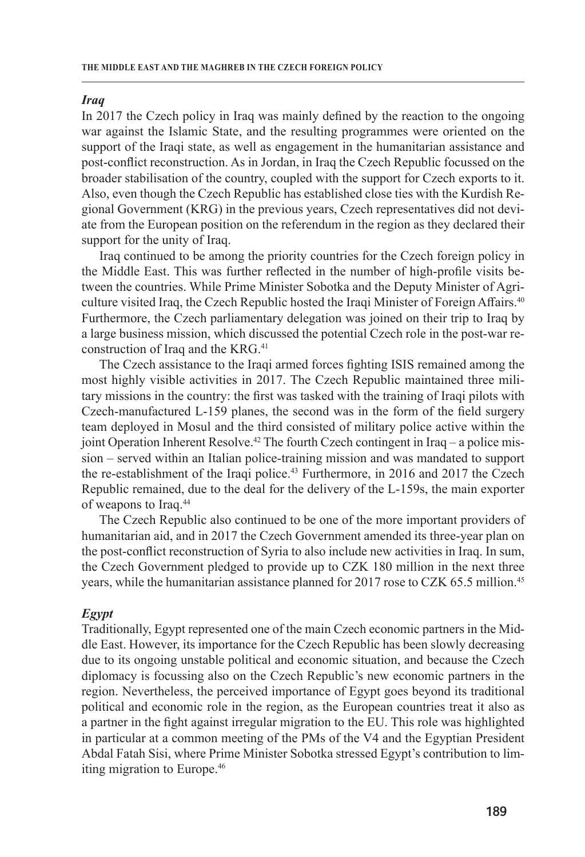## *Iraq*

In 2017 the Czech policy in Iraq was mainly defined by the reaction to the ongoing war against the Islamic State, and the resulting programmes were oriented on the support of the Iraqi state, as well as engagement in the humanitarian assistance and post-conflict reconstruction. As in Jordan, in Iraq the Czech Republic focussed on the broader stabilisation of the country, coupled with the support for Czech exports to it. Also, even though the Czech Republic has established close ties with the Kurdish Regional Government (KRG) in the previous years, Czech representatives did not deviate from the European position on the referendum in the region as they declared their support for the unity of Iraq.

Iraq continued to be among the priority countries for the Czech foreign policy in the Middle East. This was further reflected in the number of high-profile visits between the countries. While Prime Minister Sobotka and the Deputy Minister of Agriculture visited Iraq, the Czech Republic hosted the Iraqi Minister of Foreign Affairs.<sup>40</sup> Furthermore, the Czech parliamentary delegation was joined on their trip to Iraq by a large business mission, which discussed the potential Czech role in the post-war reconstruction of Iraq and the KRG.<sup>41</sup>

The Czech assistance to the Iraqi armed forces fighting ISIS remained among the most highly visible activities in 2017. The Czech Republic maintained three military missions in the country: the first was tasked with the training of Iraqi pilots with Czech-manufactured L-159 planes, the second was in the form of the field surgery team deployed in Mosul and the third consisted of military police active within the joint Operation Inherent Resolve.<sup>42</sup> The fourth Czech contingent in Iraq – a police mission – served within an Italian police-training mission and was mandated to support the re-establishment of the Iraqi police.43 Furthermore, in 2016 and 2017 the Czech Republic remained, due to the deal for the delivery of the L-159s, the main exporter of weapons to Iraq.<sup>44</sup>

The Czech Republic also continued to be one of the more important providers of humanitarian aid, and in 2017 the Czech Government amended its three-year plan on the post-conflict reconstruction of Syria to also include new activities in Iraq. In sum, the Czech Government pledged to provide up to CZK 180 million in the next three years, while the humanitarian assistance planned for 2017 rose to CZK 65.5 million.45

## *Egypt*

Traditionally, Egypt represented one of the main Czech economic partners in the Middle East. However, its importance for the Czech Republic has been slowly decreasing due to its ongoing unstable political and economic situation, and because the Czech diplomacy is focussing also on the Czech Republic's new economic partners in the region. Nevertheless, the perceived importance of Egypt goes beyond its traditional political and economic role in the region, as the European countries treat it also as a partner in the fight against irregular migration to the EU. This role was highlighted in particular at a common meeting of the PMs of the V4 and the Egyptian President Abdal Fatah Sisi, where Prime Minister Sobotka stressed Egypt's contribution to limiting migration to Europe.46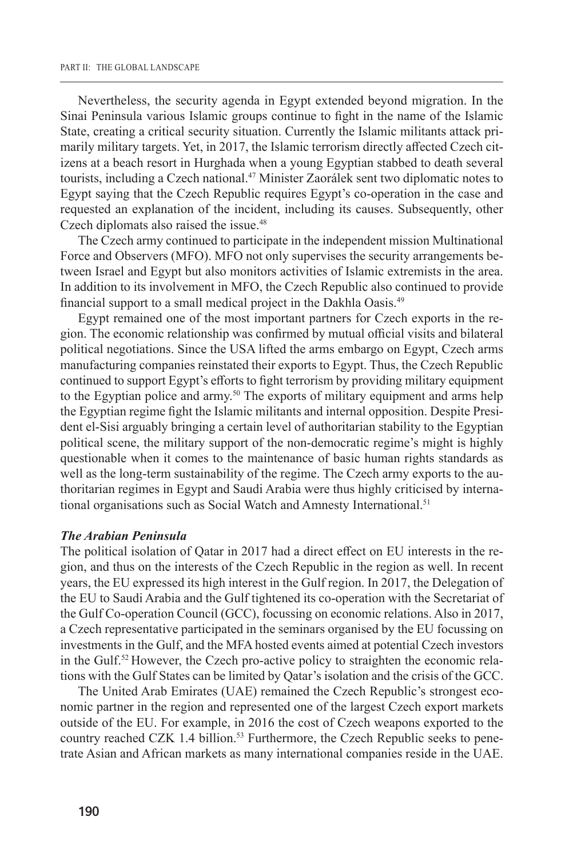Nevertheless, the security agenda in Egypt extended beyond migration. In the Sinai Peninsula various Islamic groups continue to fight in the name of the Islamic State, creating a critical security situation. Currently the Islamic militants attack primarily military targets. Yet, in 2017, the Islamic terrorism directly affected Czech citizens at a beach resort in Hurghada when a young Egyptian stabbed to death several tourists, including a Czech national.<sup>47</sup> Minister Zaorálek sent two diplomatic notes to Egypt saying that the Czech Republic requires Egypt's co-operation in the case and requested an explanation of the incident, including its causes. Subsequently, other Czech diplomats also raised the issue.<sup>48</sup>

The Czech army continued to participate in the independent mission Multinational Force and Observers (MFO). MFO not only supervises the security arrangements between Israel and Egypt but also monitors activities of Islamic extremists in the area. In addition to its involvement in MFO, the Czech Republic also continued to provide financial support to a small medical project in the Dakhla Oasis.<sup>49</sup>

Egypt remained one of the most important partners for Czech exports in the region. The economic relationship was confirmed by mutual official visits and bilateral political negotiations. Since the USA lifted the arms embargo on Egypt, Czech arms manufacturing companies reinstated their exports to Egypt. Thus, the Czech Republic continued to support Egypt's efforts to fight terrorism by providing military equipment to the Egyptian police and army.<sup>50</sup> The exports of military equipment and arms help the Egyptian regime fight the Islamic militants and internal opposition. Despite President el-Sisi arguably bringing a certain level of authoritarian stability to the Egyptian political scene, the military support of the non-democratic regime's might is highly questionable when it comes to the maintenance of basic human rights standards as well as the long-term sustainability of the regime. The Czech army exports to the authoritarian regimes in Egypt and Saudi Arabia were thus highly criticised by international organisations such as Social Watch and Amnesty International.<sup>51</sup>

### *The Arabian Peninsula*

The political isolation of Qatar in 2017 had a direct effect on EU interests in the region, and thus on the interests of the Czech Republic in the region as well. In recent years, the EU expressed its high interest in the Gulf region. In 2017, the Delegation of the EU to Saudi Arabia and the Gulf tightened its co-operation with the Secretariat of the Gulf Co-operation Council (GCC), focussing on economic relations. Also in 2017, a Czech representative participated in the seminars organised by the EU focussing on investments in the Gulf, and the MFA hosted events aimed at potential Czech investors in the Gulf.52 However, the Czech pro-active policy to straighten the economic relations with the Gulf States can be limited by Qatar's isolation and the crisis of the GCC.

The United Arab Emirates (UAE) remained the Czech Republic's strongest economic partner in the region and represented one of the largest Czech export markets outside of the EU. For example, in 2016 the cost of Czech weapons exported to the country reached CZK 1.4 billion.<sup>53</sup> Furthermore, the Czech Republic seeks to penetrate Asian and African markets as many international companies reside in the UAE.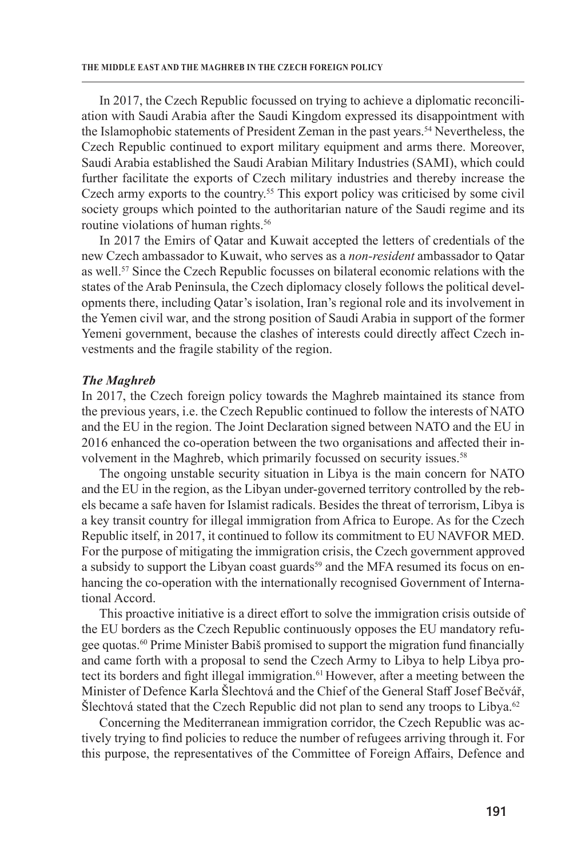In 2017, the Czech Republic focussed on trying to achieve a diplomatic reconciliation with Saudi Arabia after the Saudi Kingdom expressed its disappointment with the Islamophobic statements of President Zeman in the past years.<sup>54</sup> Nevertheless, the Czech Republic continued to export military equipment and arms there. Moreover, Saudi Arabia established the Saudi Arabian Military Industries (SAMI), which could further facilitate the exports of Czech military industries and thereby increase the Czech army exports to the country.<sup>55</sup> This export policy was criticised by some civil society groups which pointed to the authoritarian nature of the Saudi regime and its routine violations of human rights.<sup>56</sup>

In 2017 the Emirs of Qatar and Kuwait accepted the letters of credentials of the new Czech ambassador to Kuwait, who serves as a *non-resident* ambassador to Qatar as well.<sup>57</sup> Since the Czech Republic focusses on bilateral economic relations with the states of the Arab Peninsula, the Czech diplomacy closely follows the political developments there, including Qatar's isolation, Iran's regional role and its involvement in the Yemen civil war, and the strong position of Saudi Arabia in support of the former Yemeni government, because the clashes of interests could directly affect Czech investments and the fragile stability of the region.

#### *The Maghreb*

In 2017, the Czech foreign policy towards the Maghreb maintained its stance from the previous years, i.e. the Czech Republic continued to follow the interests of NATO and the EU in the region. The Joint Declaration signed between NATO and the EU in 2016 enhanced the co-operation between the two organisations and affected their involvement in the Maghreb, which primarily focussed on security issues.<sup>58</sup>

The ongoing unstable security situation in Libya is the main concern for NATO and the EU in the region, as the Libyan under-governed territory controlled by the rebels became a safe haven for Islamist radicals. Besides the threat of terrorism, Libya is a key transit country for illegal immigration from Africa to Europe. As for the Czech Republic itself, in 2017, it continued to follow its commitment to EU NAVFOR MED. For the purpose of mitigating the immigration crisis, the Czech government approved a subsidy to support the Libyan coast guards<sup>59</sup> and the MFA resumed its focus on enhancing the co-operation with the internationally recognised Government of International Accord.

This proactive initiative is a direct effort to solve the immigration crisis outside of the EU borders as the Czech Republic continuously opposes the EU mandatory refugee quotas.60 Prime Minister Babiš promised to support the migration fund financially and came forth with a proposal to send the Czech Army to Libya to help Libya protect its borders and fight illegal immigration.61 However, after a meeting between the Minister of Defence Karla Šlechtová and the Chief of the General Staff Josef Bečvář, Šlechtová stated that the Czech Republic did not plan to send any troops to Libya.<sup>62</sup>

Concerning the Mediterranean immigration corridor, the Czech Republic was actively trying to find policies to reduce the number of refugees arriving through it. For this purpose, the representatives of the Committee of Foreign Affairs, Defence and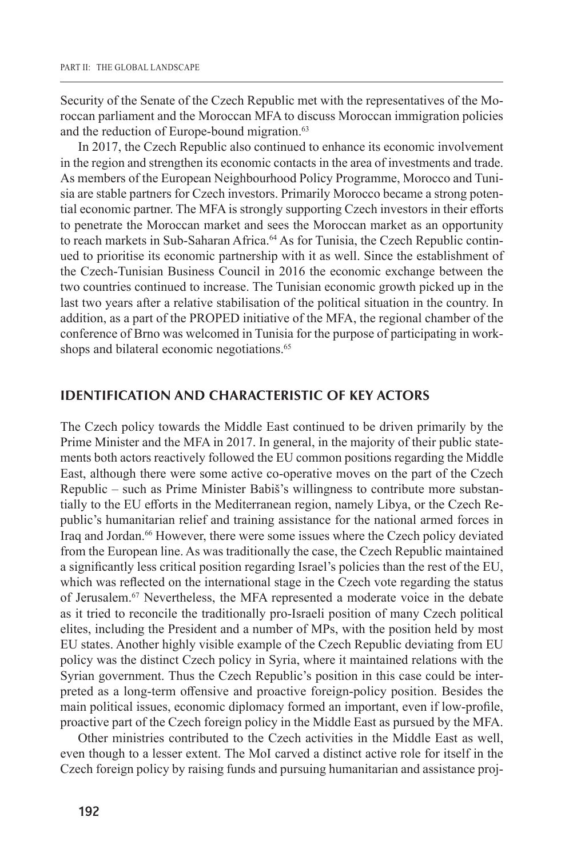Security of the Senate of the Czech Republic met with the representatives of the Moroccan parliament and the Moroccan MFA to discuss Moroccan immigration policies and the reduction of Europe-bound migration.<sup>63</sup>

In 2017, the Czech Republic also continued to enhance its economic involvement in the region and strengthen its economic contacts in the area of investments and trade. As members of the European Neighbourhood Policy Programme, Morocco and Tunisia are stable partners for Czech investors. Primarily Morocco became a strong potential economic partner. The MFA is strongly supporting Czech investors in their efforts to penetrate the Moroccan market and sees the Moroccan market as an opportunity to reach markets in Sub-Saharan Africa.<sup>64</sup> As for Tunisia, the Czech Republic continued to prioritise its economic partnership with it as well. Since the establishment of the Czech-Tunisian Business Council in 2016 the economic exchange between the two countries continued to increase. The Tunisian economic growth picked up in the last two years after a relative stabilisation of the political situation in the country. In addition, as a part of the PROPED initiative of the MFA, the regional chamber of the conference of Brno was welcomed in Tunisia for the purpose of participating in workshops and bilateral economic negotiations.<sup>65</sup>

## **IDENTIFICATION AND CHARACTERISTIC OF KEY ACTORS**

The Czech policy towards the Middle East continued to be driven primarily by the Prime Minister and the MFA in 2017. In general, in the majority of their public statements both actors reactively followed the EU common positions regarding the Middle East, although there were some active co-operative moves on the part of the Czech Republic – such as Prime Minister Babiš's willingness to contribute more substantially to the EU efforts in the Mediterranean region, namely Libya, or the Czech Republic's humanitarian relief and training assistance for the national armed forces in Iraq and Jordan.<sup>66</sup> However, there were some issues where the Czech policy deviated from the European line. As was traditionally the case, the Czech Republic maintained a significantly less critical position regarding Israel's policies than the rest of the EU, which was reflected on the international stage in the Czech vote regarding the status of Jerusalem.67 Nevertheless, the MFA represented a moderate voice in the debate as it tried to reconcile the traditionally pro-Israeli position of many Czech political elites, including the President and a number of MPs, with the position held by most EU states. Another highly visible example of the Czech Republic deviating from EU policy was the distinct Czech policy in Syria, where it maintained relations with the Syrian government. Thus the Czech Republic's position in this case could be interpreted as a long-term offensive and proactive foreign-policy position. Besides the main political issues, economic diplomacy formed an important, even if low-profile, proactive part of the Czech foreign policy in the Middle East as pursued by the MFA.

Other ministries contributed to the Czech activities in the Middle East as well, even though to a lesser extent. The MoI carved a distinct active role for itself in the Czech foreign policy by raising funds and pursuing humanitarian and assistance proj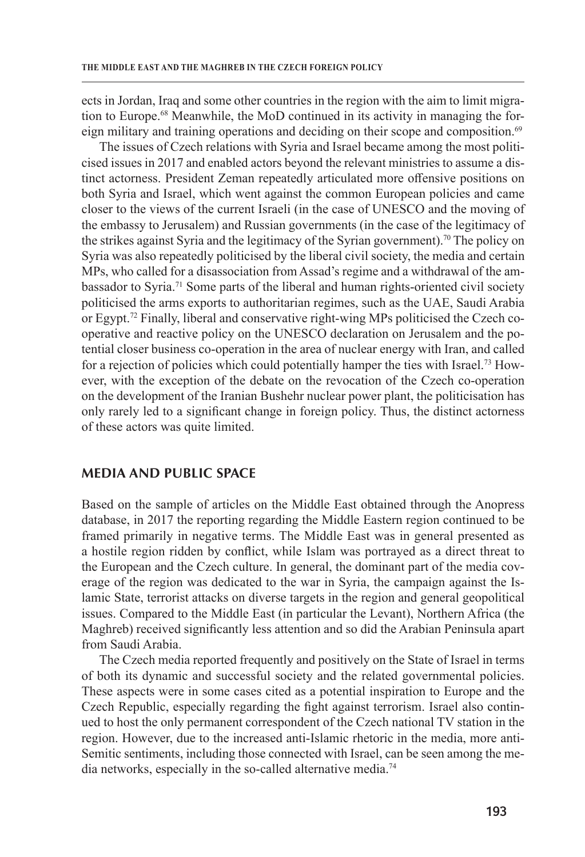ects in Jordan, Iraq and some other countries in the region with the aim to limit migration to Europe.68 Meanwhile, the MoD continued in its activity in managing the foreign military and training operations and deciding on their scope and composition.<sup>69</sup>

The issues of Czech relations with Syria and Israel became among the most politicised issues in 2017 and enabled actors beyond the relevant ministries to assume a distinct actorness. President Zeman repeatedly articulated more offensive positions on both Syria and Israel, which went against the common European policies and came closer to the views of the current Israeli (in the case of UNESCO and the moving of the embassy to Jerusalem) and Russian governments (in the case of the legitimacy of the strikes against Syria and the legitimacy of the Syrian government).<sup>70</sup> The policy on Syria was also repeatedly politicised by the liberal civil society, the media and certain MPs, who called for a disassociation from Assad's regime and a withdrawal of the ambassador to Syria.<sup>71</sup> Some parts of the liberal and human rights-oriented civil society politicised the arms exports to authoritarian regimes, such as the UAE, Saudi Arabia or Egypt.<sup>72</sup> Finally, liberal and conservative right-wing MPs politicised the Czech cooperative and reactive policy on the UNESCO declaration on Jerusalem and the potential closer business co-operation in the area of nuclear energy with Iran, and called for a rejection of policies which could potentially hamper the ties with Israel.73 However, with the exception of the debate on the revocation of the Czech co-operation on the development of the Iranian Bushehr nuclear power plant, the politicisation has only rarely led to a significant change in foreign policy. Thus, the distinct actorness of these actors was quite limited.

## **MEDIA AND PUBLIC SPACE**

Based on the sample of articles on the Middle East obtained through the Anopress database, in 2017 the reporting regarding the Middle Eastern region continued to be framed primarily in negative terms. The Middle East was in general presented as a hostile region ridden by conflict, while Islam was portrayed as a direct threat to the European and the Czech culture. In general, the dominant part of the media coverage of the region was dedicated to the war in Syria, the campaign against the Islamic State, terrorist attacks on diverse targets in the region and general geopolitical issues. Compared to the Middle East (in particular the Levant), Northern Africa (the Maghreb) received significantly less attention and so did the Arabian Peninsula apart from Saudi Arabia.

The Czech media reported frequently and positively on the State of Israel in terms of both its dynamic and successful society and the related governmental policies. These aspects were in some cases cited as a potential inspiration to Europe and the Czech Republic, especially regarding the fight against terrorism. Israel also continued to host the only permanent correspondent of the Czech national TV station in the region. However, due to the increased anti-Islamic rhetoric in the media, more anti-Semitic sentiments, including those connected with Israel, can be seen among the media networks, especially in the so-called alternative media.74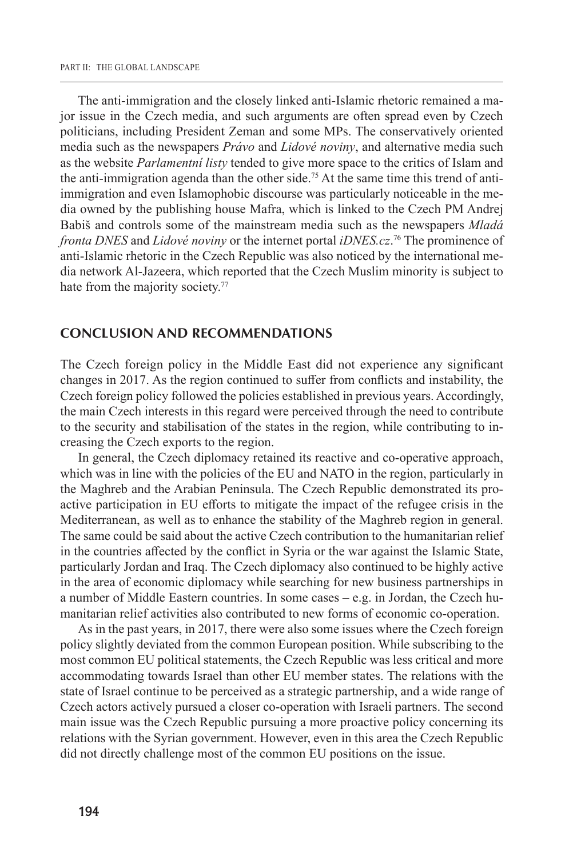The anti-immigration and the closely linked anti-Islamic rhetoric remained a major issue in the Czech media, and such arguments are often spread even by Czech politicians, including President Zeman and some MPs. The conservatively oriented media such as the newspapers *Právo* and *Lidové noviny*, and alternative media such as the website *Parlamentní listy* tended to give more space to the critics of Islam and the anti-immigration agenda than the other side.<sup>75</sup> At the same time this trend of antiimmigration and even Islamophobic discourse was particularly noticeable in the media owned by the publishing house Mafra, which is linked to the Czech PM Andrej Babiš and controls some of the mainstream media such as the newspapers *Mladá fronta DNES* and *Lidové noviny* or the internet portal *iDNES.cz*. 76 The prominence of anti-Islamic rhetoric in the Czech Republic was also noticed by the international media network Al-Jazeera, which reported that the Czech Muslim minority is subject to hate from the majority society.<sup>77</sup>

#### **CONCLUSION AND RECOMMENDATIONS**

The Czech foreign policy in the Middle East did not experience any significant changes in 2017. As the region continued to suffer from conflicts and instability, the Czech foreign policy followed the policies established in previous years. Accordingly, the main Czech interests in this regard were perceived through the need to contribute to the security and stabilisation of the states in the region, while contributing to increasing the Czech exports to the region.

In general, the Czech diplomacy retained its reactive and co-operative approach, which was in line with the policies of the EU and NATO in the region, particularly in the Maghreb and the Arabian Peninsula. The Czech Republic demonstrated its proactive participation in EU efforts to mitigate the impact of the refugee crisis in the Mediterranean, as well as to enhance the stability of the Maghreb region in general. The same could be said about the active Czech contribution to the humanitarian relief in the countries affected by the conflict in Syria or the war against the Islamic State, particularly Jordan and Iraq. The Czech diplomacy also continued to be highly active in the area of economic diplomacy while searching for new business partnerships in a number of Middle Eastern countries. In some cases – e.g. in Jordan, the Czech humanitarian relief activities also contributed to new forms of economic co-operation.

As in the past years, in 2017, there were also some issues where the Czech foreign policy slightly deviated from the common European position. While subscribing to the most common EU political statements, the Czech Republic was less critical and more accommodating towards Israel than other EU member states. The relations with the state of Israel continue to be perceived as a strategic partnership, and a wide range of Czech actors actively pursued a closer co-operation with Israeli partners. The second main issue was the Czech Republic pursuing a more proactive policy concerning its relations with the Syrian government. However, even in this area the Czech Republic did not directly challenge most of the common EU positions on the issue.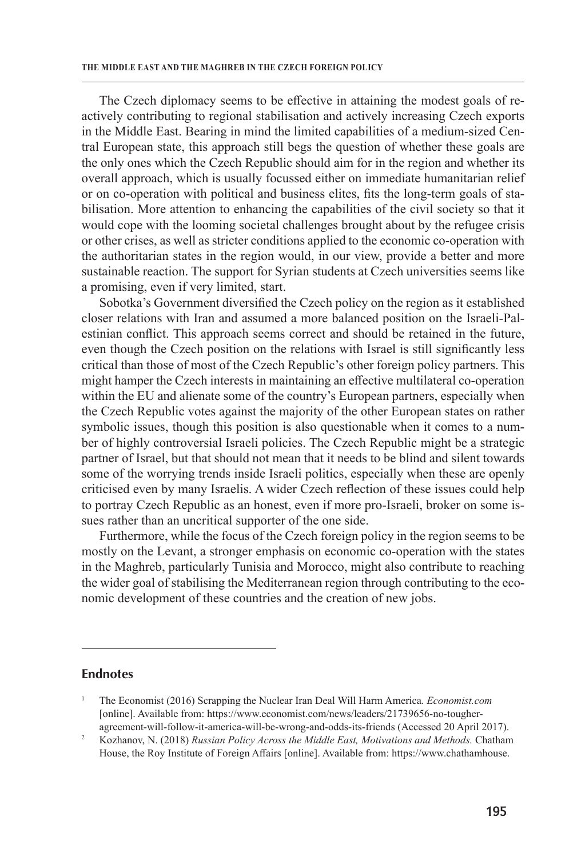The Czech diplomacy seems to be effective in attaining the modest goals of reactively contributing to regional stabilisation and actively increasing Czech exports in the Middle East. Bearing in mind the limited capabilities of a medium-sized Central European state, this approach still begs the question of whether these goals are the only ones which the Czech Republic should aim for in the region and whether its overall approach, which is usually focussed either on immediate humanitarian relief or on co-operation with political and business elites, fits the long-term goals of stabilisation. More attention to enhancing the capabilities of the civil society so that it would cope with the looming societal challenges brought about by the refugee crisis or other crises, as well as stricter conditions applied to the economic co-operation with the authoritarian states in the region would, in our view, provide a better and more sustainable reaction. The support for Syrian students at Czech universities seems like a promising, even if very limited, start.

Sobotka's Government diversified the Czech policy on the region as it established closer relations with Iran and assumed a more balanced position on the Israeli-Palestinian conflict. This approach seems correct and should be retained in the future, even though the Czech position on the relations with Israel is still significantly less critical than those of most of the Czech Republic's other foreign policy partners. This might hamper the Czech interests in maintaining an effective multilateral co-operation within the EU and alienate some of the country's European partners, especially when the Czech Republic votes against the majority of the other European states on rather symbolic issues, though this position is also questionable when it comes to a number of highly controversial Israeli policies. The Czech Republic might be a strategic partner of Israel, but that should not mean that it needs to be blind and silent towards some of the worrying trends inside Israeli politics, especially when these are openly criticised even by many Israelis. A wider Czech reflection of these issues could help to portray Czech Republic as an honest, even if more pro-Israeli, broker on some issues rather than an uncritical supporter of the one side.

Furthermore, while the focus of the Czech foreign policy in the region seems to be mostly on the Levant, a stronger emphasis on economic co-operation with the states in the Maghreb, particularly Tunisia and Morocco, might also contribute to reaching the wider goal of stabilising the Mediterranean region through contributing to the economic development of these countries and the creation of new jobs.

## **Endnotes**

<sup>1</sup> The Economist (2016) Scrapping the Nuclear Iran Deal Will Harm America*. Economist.com*  [online]. Available from: https://www.economist.com/news/leaders/21739656-no-tougheragreement-will-follow-it-america-will-be-wrong-and-odds-its-friends (Accessed 20 April 2017).

<sup>2</sup> Kozhanov, N. (2018) *Russian Policy Across the Middle East, Motivations and Methods.* Chatham House, the Roy Institute of Foreign Affairs [online]. Available from: https://www.chathamhouse.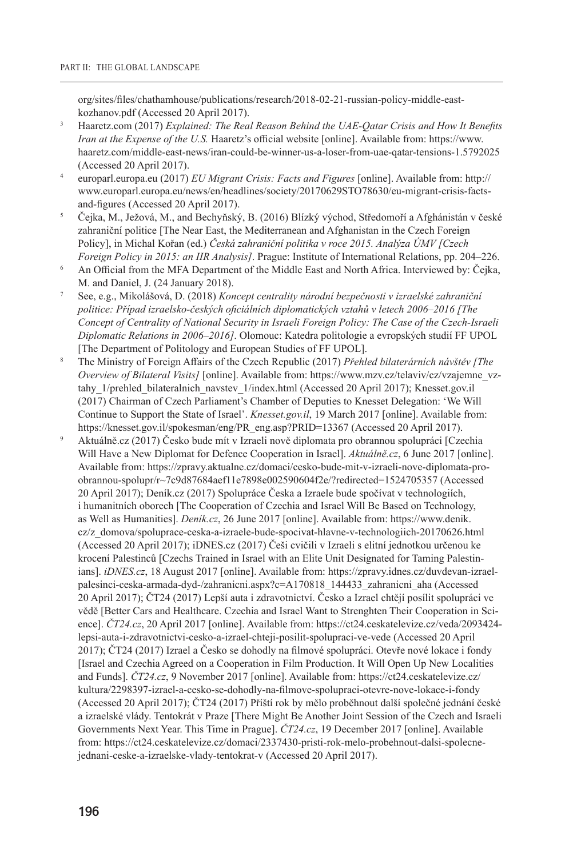org/sites/files/chathamhouse/publications/research/2018-02-21-russian-policy-middle-eastkozhanov.pdf (Accessed 20 April 2017).

- <sup>3</sup> Haaretz.com (2017) *Explained: The Real Reason Behind the UAE-Qatar Crisis and How It Benefits Iran at the Expense of the U.S.* Haaretz's official website [online]. Available from: https://www. haaretz.com/middle-east-news/iran-could-be-winner-us-a-loser-from-uae-qatar-tensions-1.5792025 (Accessed 20 April 2017).
- <sup>4</sup> europarl.europa.eu (2017) *EU Migrant Crisis: Facts and Figures* [online]. Available from: http:// www.europarl.europa.eu/news/en/headlines/society/20170629STO78630/eu-migrant-crisis-factsand-figures (Accessed 20 April 2017).
- <sup>5</sup> Čejka, M., Ježová, M., and Bechyňský, B. (2016) Blízký východ, Středomoří a Afghánistán v české zahraniční politice [The Near East, the Mediterranean and Afghanistan in the Czech Foreign Policy], in Michal Kořan (ed.) *Česká zahraniční politika v roce 2015. Analýza ÚMV [Czech Foreign Policy in 2015: an IIR Analysis]*. Prague: Institute of International Relations, pp. 204–226.
- <sup>6</sup> An Official from the MFA Department of the Middle East and North Africa. Interviewed by: Čejka, M. and Daniel, J. (24 January 2018).
- <sup>7</sup> See, e.g., Mikolášová, D. (2018) *Koncept centrality národní bezpečnosti v izraelské zahraniční politice: Případ izraelsko-českých oficiálních diplomatických vztahů v letech 2006–2016 [The Concept of Centrality of National Security in Israeli Foreign Policy: The Case of the Czech-Israeli Diplomatic Relations in 2006–2016]*. Olomouc: Katedra politologie a evropských studií FF UPOL [The Department of Politology and European Studies of FF UPOL].
- <sup>8</sup> The Ministry of Foreign Affairs of the Czech Republic (2017) *Přehled bilaterárních návštěv [The Overview of Bilateral Visits]* [online]. Available from: https://www.mzv.cz/telaviv/cz/vzajemne\_vztahy\_1/prehled\_bilateralnich\_navstev\_1/index.html (Accessed 20 April 2017); Knesset.gov.il (2017) Chairman of Czech Parliament's Chamber of Deputies to Knesset Delegation: 'We Will Continue to Support the State of Israel'. *Knesset.gov.il*, 19 March 2017 [online]. Available from: https://knesset.gov.il/spokesman/eng/PR\_eng.asp?PRID=13367 (Accessed 20 April 2017).
- <sup>9</sup> Aktuálně.cz (2017) Česko bude mít v Izraeli nově diplomata pro obrannou spolupráci [Czechia Will Have a New Diplomat for Defence Cooperation in Israel]. *Aktuálně.cz*, 6 June 2017 [online]. Available from: https://zpravy.aktualne.cz/domaci/cesko-bude-mit-v-izraeli-nove-diplomata-proobrannou-spolupr/r~7c9d87684aef11e7898e002590604f2e/?redirected=1524705357 (Accessed 20 April 2017); Deník.cz (2017) Spolupráce Česka a Izraele bude spočívat v technologiích, i humanitních oborech [The Cooperation of Czechia and Israel Will Be Based on Technology, as Well as Humanities]. *Deník.cz*, 26 June 2017 [online]. Available from: https://www.denik. cz/z\_domova/spoluprace-ceska-a-izraele-bude-spocivat-hlavne-v-technologiich-20170626.html (Accessed 20 April 2017); iDNES.cz (2017) Češi cvičili v Izraeli s elitní jednotkou určenou ke krocení Palestinců [Czechs Trained in Israel with an Elite Unit Designated for Taming Palestinians]. *iDNES.cz*, 18 August 2017 [online]. Available from: https://zpravy.idnes.cz/duvdevan-izraelpalesinci-ceska-armada-dyd-/zahranicni.aspx?c=A170818\_144433\_zahranicni\_aha (Accessed 20 April 2017); ČT24 (2017) Lepší auta i zdravotnictví. Česko a Izrael chtějí posílit spolupráci ve vědě [Better Cars and Healthcare. Czechia and Israel Want to Strenghten Their Cooperation in Science]. *ČT24.cz*, 20 April 2017 [online]. Available from: https://ct24.ceskatelevize.cz/veda/2093424 lepsi-auta-i-zdravotnictvi-cesko-a-izrael-chteji-posilit-spolupraci-ve-vede (Accessed 20 April 2017); ČT24 (2017) Izrael a Česko se dohodly na filmové spolupráci. Otevře nové lokace i fondy [Israel and Czechia Agreed on a Cooperation in Film Production. It Will Open Up New Localities and Funds]. *ČT24.cz*, 9 November 2017 [online]. Available from: https://ct24.ceskatelevize.cz/ kultura/2298397-izrael-a-cesko-se-dohodly-na-filmove-spolupraci-otevre-nove-lokace-i-fondy (Accessed 20 April 2017); ČT24 (2017) Příští rok by mělo proběhnout další společné jednání české a izraelské vlády. Tentokrát v Praze [There Might Be Another Joint Session of the Czech and Israeli Governments Next Year. This Time in Prague]. *ČT24.cz*, 19 December 2017 [online]. Available from: https://ct24.ceskatelevize.cz/domaci/2337430-pristi-rok-melo-probehnout-dalsi-spolecnejednani-ceske-a-izraelske-vlady-tentokrat-v (Accessed 20 April 2017).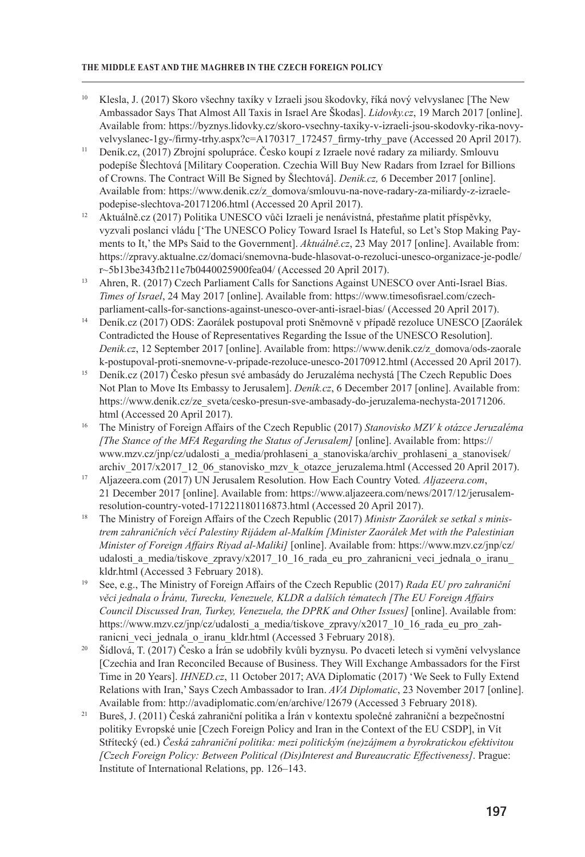#### **The Middle East and the Maghreb in the Czech Foreign Policy**

- <sup>10</sup> Klesla, J. (2017) Skoro všechny taxíky v Izraeli jsou škodovky, říká nový velvyslanec [The New Ambassador Says That Almost All Taxis in Israel Are Škodas]. *Lidovky.cz*, 19 March 2017 [online]. Available from: https://byznys.lidovky.cz/skoro-vsechny-taxiky-v-izraeli-jsou-skodovky-rika-novyvelvyslanec-1gy-/firmy-trhy.aspx?c=A170317\_172457\_firmy-trhy\_pave (Accessed 20 April 2017).
- <sup>11</sup> Deník.cz, (2017) Zbrojní spolupráce. Česko koupí z Izraele nové radary za miliardy. Smlouvu podepíše Šlechtová [Military Cooperation. Czechia Will Buy New Radars from Izrael for Billions of Crowns. The Contract Will Be Signed by Šlechtová]. *Denik.cz,* 6 December 2017 [online]. Available from: https://www.denik.cz/z\_domova/smlouvu-na-nove-radary-za-miliardy-z-izraelepodepise-slechtova-20171206.html (Accessed 20 April 2017).
- <sup>12</sup> Aktuálně.cz (2017) Politika UNESCO vůči Izraeli je nenávistná, přestaňme platit příspěvky, vyzvali poslanci vládu ['The UNESCO Policy Toward Israel Is Hateful, so Let's Stop Making Payments to It,' the MPs Said to the Government]. *Aktuálně.cz*, 23 May 2017 [online]. Available from: https://zpravy.aktualne.cz/domaci/snemovna-bude-hlasovat-o-rezoluci-unesco-organizace-je-podle/ r~5b13be343fb211e7b0440025900fea04/ (Accessed 20 April 2017).
- <sup>13</sup> Ahren, R. (2017) Czech Parliament Calls for Sanctions Against UNESCO over Anti-Israel Bias. *Times of Israel*, 24 May 2017 [online]. Available from: https://www.timesofisrael.com/czechparliament-calls-for-sanctions-against-unesco-over-anti-israel-bias/ (Accessed 20 April 2017).
- <sup>14</sup> Deník.cz (2017) ODS: Zaorálek postupoval proti Sněmovně v případě rezoluce UNESCO [Zaorálek Contradicted the House of Representatives Regarding the Issue of the UNESCO Resolution]. *Denik.cz*, 12 September 2017 [online]. Available from: https://www.denik.cz/z\_domova/ods-zaorale k-postupoval-proti-snemovne-v-pripade-rezoluce-unesco-20170912.html (Accessed 20 April 2017).
- <sup>15</sup> Deník.cz (2017) Česko přesun své ambasády do Jeruzaléma nechystá [The Czech Republic Does Not Plan to Move Its Embassy to Jerusalem]. *Deník.cz*, 6 December 2017 [online]. Available from: https://www.denik.cz/ze\_sveta/cesko-presun-sve-ambasady-do-jeruzalema-nechysta-20171206. html (Accessed 20 April 2017).
- <sup>16</sup> The Ministry of Foreign Affairs of the Czech Republic (2017) *Stanovisko MZV k otázce Jeruzaléma [The Stance of the MFA Regarding the Status of Jerusalem]* [online]. Available from: https:// www.mzv.cz/jnp/cz/udalosti\_a\_media/prohlaseni\_a\_stanoviska/archiv\_prohlaseni\_a\_stanovisek/ archiv 2017/x2017\_12\_06\_stanovisko\_mzv\_k\_otazce\_jeruzalema.html (Accessed 20 April 2017).
- <sup>17</sup> Aljazeera.com (2017) UN Jerusalem Resolution. How Each Country Voted*. Aljazeera.com*, 21 December 2017 [online]. Available from: https://www.aljazeera.com/news/2017/12/jerusalemresolution-country-voted-171221180116873.html (Accessed 20 April 2017).
- <sup>18</sup> The Ministry of Foreign Affairs of the Czech Republic (2017) *Ministr Zaorálek se setkal s ministrem zahraničních věcí Palestiny Rijádem al-Malkím [Minister Zaorálek Met with the Palestinian Minister of Foreign Affairs Riyad al-Maliki]* [online]. Available from: https://www.mzv.cz/jnp/cz/ udalosti a media/tiskove zpravy/x2017 10 16 rada eu pro zahranicni veci jednala o iranu kldr.html (Accessed 3 February 2018).
- <sup>19</sup> See, e.g., The Ministry of Foreign Affairs of the Czech Republic (2017) *Rada EU pro zahraniční věci jednala o Íránu, Turecku, Venezuele, KLDR a dalších tématech [The EU Foreign Affairs Council Discussed Iran, Turkey, Venezuela, the DPRK and Other Issues]* [online]. Available from: https://www.mzv.cz/jnp/cz/udalosti\_a\_media/tiskove\_zpravy/x2017\_10\_16\_rada\_eu\_pro\_zahranicni veci jednala o iranu kldr.html (Accessed 3 February 2018).
- <sup>20</sup> Šídlová, T. (2017) Česko a Írán se udobřily kvůli byznysu. Po dvaceti letech si vymění velvyslance [Czechia and Iran Reconciled Because of Business. They Will Exchange Ambassadors for the First Time in 20 Years]. *IHNED.cz*, 11 October 2017; AVA Diplomatic (2017) 'We Seek to Fully Extend Relations with Iran,' Says Czech Ambassador to Iran. *AVA Diplomatic*, 23 November 2017 [online]. Available from: http://avadiplomatic.com/en/archive/12679 (Accessed 3 February 2018).
- <sup>21</sup> Bureš, J. (2011) Česká zahraniční politika a Írán v kontextu společné zahraniční a bezpečnostní politiky Evropské unie [Czech Foreign Policy and Iran in the Context of the EU CSDP], in Vít Střítecký (ed.) *Česká zahraniční politika: mezi politickým (ne)zájmem a byrokratickou efektivitou [Czech Foreign Policy: Between Political (Dis)Interest and Bureaucratic Effectiveness]*. Prague: Institute of International Relations, pp. 126–143.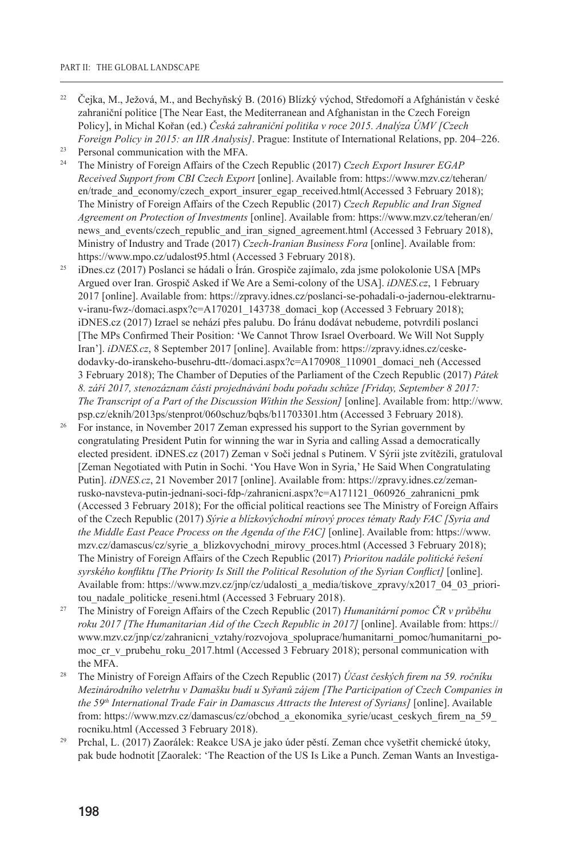- <sup>22</sup> Čejka, M., Ježová, M., and Bechyňský B. (2016) Blízký východ, Středomoří a Afghánistán v české zahraniční politice [The Near East, the Mediterranean and Afghanistan in the Czech Foreign Policy], in Michal Kořan (ed.) *Česká zahraniční politika v roce 2015. Analýza ÚMV [Czech Foreign Policy in 2015: an IIR Analysis]*. Prague: Institute of International Relations, pp. 204–226.
- <sup>23</sup> Personal communication with the MFA.
- <sup>24</sup> The Ministry of Foreign Affairs of the Czech Republic (2017) *Czech Export Insurer EGAP Received Support from CBI Czech Export* [online]. Available from: https://www.mzv.cz/teheran/ en/trade and economy/czech export insurer egap received.html(Accessed 3 February 2018); The Ministry of Foreign Affairs of the Czech Republic (2017) *Czech Republic and Iran Signed Agreement on Protection of Investments* [online]. Available from: https://www.mzv.cz/teheran/en/ news and events/czech republic and iran signed agreement.html (Accessed 3 February 2018), Ministry of Industry and Trade (2017) *Czech-Iranian Business Fora* [online]. Available from: https://www.mpo.cz/udalost95.html (Accessed 3 February 2018).
- <sup>25</sup> iDnes.cz (2017) Poslanci se hádali o Írán. Grospiče zajímalo, zda jsme polokolonie USA [MPs Argued over Iran. Grospič Asked if We Are a Semi-colony of the USA]. *iDNES.cz*, 1 February 2017 [online]. Available from: https://zpravy.idnes.cz/poslanci-se-pohadali-o-jadernou-elektrarnuv-iranu-fwz-/domaci.aspx?c=A170201\_143738\_domaci\_kop (Accessed 3 February 2018); iDNES.cz (2017) Izrael se nehází přes palubu. Do Íránu dodávat nebudeme, potvrdili poslanci [The MPs Confirmed Their Position: 'We Cannot Throw Israel Overboard. We Will Not Supply Iran']. *iDNES.cz*, 8 September 2017 [online]. Available from: https://zpravy.idnes.cz/ceskedodavky-do-iranskeho-busehru-dtt-/domaci.aspx?c=A170908\_110901\_domaci\_neh (Accessed 3 February 2018); The Chamber of Deputies of the Parliament of the Czech Republic (2017) *Pátek 8. září 2017, stenozáznam části projednávání bodu pořadu schůze [Friday, September 8 2017: The Transcript of a Part of the Discussion Within the Session]* [online]. Available from: http://www. psp.cz/eknih/2013ps/stenprot/060schuz/bqbs/b11703301.htm (Accessed 3 February 2018).
- <sup>26</sup> For instance, in November 2017 Zeman expressed his support to the Syrian government by congratulating President Putin for winning the war in Syria and calling Assad a democratically elected president. iDNES.cz (2017) Zeman v Soči jednal s Putinem. V Sýrii jste zvítězili, gratuloval [Zeman Negotiated with Putin in Sochi. 'You Have Won in Syria,' He Said When Congratulating Putin]. *iDNES.cz*, 21 November 2017 [online]. Available from: https://zpravy.idnes.cz/zemanrusko-navsteva-putin-jednani-soci-fdp-/zahranicni.aspx?c=A171121\_060926\_zahranicni\_pmk (Accessed 3 February 2018); For the official political reactions see The Ministry of Foreign Affairs of the Czech Republic (2017) *Sýrie a blízkovýchodní mírový proces tématy Rady FAC [Syria and the Middle East Peace Process on the Agenda of the FAC]* [online]. Available from: https://www. mzv.cz/damascus/cz/syrie\_a\_blizkovychodni\_mirovy\_proces.html (Accessed 3 February 2018); The Ministry of Foreign Affairs of the Czech Republic (2017) *Prioritou nadále politické řešení syrského konfliktu [The Priority Is Still the Political Resolution of the Syrian Conflict]* [online]. Available from: https://www.mzv.cz/jnp/cz/udalosti\_a\_media/tiskove\_zpravy/x2017\_04\_03\_prioritou nadale politicke reseni.html (Accessed 3 February 2018).
- <sup>27</sup> The Ministry of Foreign Affairs of the Czech Republic (2017) *Humanitární pomoc ČR v průběhu roku 2017 [The Humanitarian Aid of the Czech Republic in 2017]* [online]. Available from: https:// www.mzv.cz/jnp/cz/zahranicni\_vztahy/rozvojova\_spoluprace/humanitarni\_pomoc/humanitarni\_pomoc cr v prubehu roku 2017.html (Accessed 3 February 2018); personal communication with the MFA.
- <sup>28</sup> The Ministry of Foreign Affairs of the Czech Republic (2017) *Účast českých firem na 59. ročníku Mezinárodního veletrhu v Damašku budí u Syřanů zájem [The Participation of Czech Companies in the 59th International Trade Fair in Damascus Attracts the Interest of Syrians]* [online]. Available from: https://www.mzv.cz/damascus/cz/obchod\_a\_ekonomika\_syrie/ucast\_ceskych\_firem\_na\_59\_ rocniku.html (Accessed 3 February 2018).
- <sup>29</sup> Prchal, L. (2017) Zaorálek: Reakce USA je jako úder pěstí. Zeman chce vyšetřit chemické útoky, pak bude hodnotit [Zaoralek: 'The Reaction of the US Is Like a Punch. Zeman Wants an Investiga-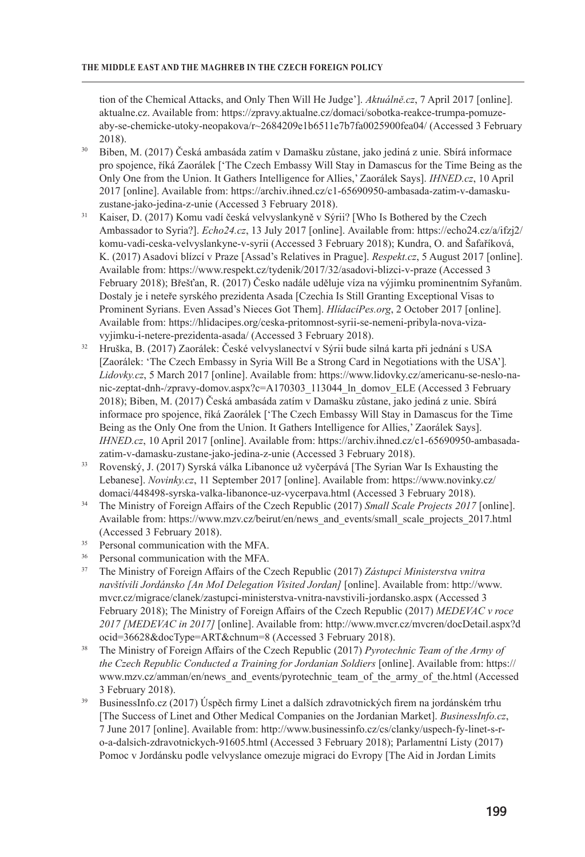tion of the Chemical Attacks, and Only Then Will He Judge']. *Aktuálně.cz*, 7 April 2017 [online]. aktualne.cz. Available from: https://zpravy.aktualne.cz/domaci/sobotka-reakce-trumpa-pomuzeaby-se-chemicke-utoky-neopakova/r~2684209e1b6511e7b7fa0025900fea04/ (Accessed 3 February 2018).

- <sup>30</sup> Biben, M. (2017) Česká ambasáda zatím v Damašku zůstane, jako jediná z unie. Sbírá informace pro spojence, říká Zaorálek ['The Czech Embassy Will Stay in Damascus for the Time Being as the Only One from the Union. It Gathers Intelligence for Allies,' Zaorálek Says]. *IHNED.cz*, 10 April 2017 [online]. Available from: https://archiv.ihned.cz/c1-65690950-ambasada-zatim-v-damaskuzustane-jako-jedina-z-unie (Accessed 3 February 2018).
- <sup>31</sup> Kaiser, D. (2017) Komu vadí česká velvyslankyně v Sýrii? [Who Is Bothered by the Czech Ambassador to Syria?]. *Echo24.cz*, 13 July 2017 [online]. Available from: https://echo24.cz/a/ifzj2/ komu-vadi-ceska-velvyslankyne-v-syrii (Accessed 3 February 2018); Kundra, O. and Šafaříková, K. (2017) Asadovi blízcí v Praze [Assad's Relatives in Prague]. *Respekt.cz*, 5 August 2017 [online]. Available from: https://www.respekt.cz/tydenik/2017/32/asadovi-blizci-v-praze (Accessed 3 February 2018); Břešťan, R. (2017) Česko nadále uděluje víza na výjimku prominentním Syřanům. Dostaly je i neteře syrského prezidenta Asada [Czechia Is Still Granting Exceptional Visas to Prominent Syrians. Even Assad's Nieces Got Them]. *HlídacíPes.org*, 2 October 2017 [online]. Available from: https://hlidacipes.org/ceska-pritomnost-syrii-se-nemeni-pribyla-nova-vizavyjimku-i-netere-prezidenta-asada/ (Accessed 3 February 2018).
- <sup>32</sup> Hruška, B. (2017) Zaorálek: České velvyslanectví v Sýrii bude silná karta při jednání s USA [Zaorálek: 'The Czech Embassy in Syria Will Be a Strong Card in Negotiations with the USA']*. Lidovky.cz*, 5 March 2017 [online]. Available from: https://www.lidovky.cz/americanu-se-neslo-nanic-zeptat-dnh-/zpravy-domov.aspx?c=A170303\_113044\_ln\_domov\_ELE (Accessed 3 February 2018); Biben, M. (2017) Česká ambasáda zatím v Damašku zůstane, jako jediná z unie. Sbírá informace pro spojence, říká Zaorálek ['The Czech Embassy Will Stay in Damascus for the Time Being as the Only One from the Union. It Gathers Intelligence for Allies,' Zaorálek Says]. *IHNED.cz*, 10 April 2017 [online]. Available from: https://archiv.ihned.cz/c1-65690950-ambasadazatim-v-damasku-zustane-jako-jedina-z-unie (Accessed 3 February 2018).
- <sup>33</sup> Rovenský, J. (2017) Syrská válka Libanonce už vyčerpává [The Syrian War Is Exhausting the Lebanese]. *Novinky.cz*, 11 September 2017 [online]. Available from: https://www.novinky.cz/ domaci/448498-syrska-valka-libanonce-uz-vycerpava.html (Accessed 3 February 2018).
- <sup>34</sup> The Ministry of Foreign Affairs of the Czech Republic (2017) *Small Scale Projects 2017* [online]. Available from: https://www.mzv.cz/beirut/en/news\_and\_events/small\_scale\_projects\_2017.html (Accessed 3 February 2018).
- <sup>35</sup> Personal communication with the MFA.
- <sup>36</sup> Personal communication with the MFA.
- <sup>37</sup> The Ministry of Foreign Affairs of the Czech Republic (2017) *Zástupci Ministerstva vnitra navštívili Jordánsko [An MoI Delegation Visited Jordan]* [online]. Available from: http://www. mvcr.cz/migrace/clanek/zastupci-ministerstva-vnitra-navstivili-jordansko.aspx (Accessed 3 February 2018); The Ministry of Foreign Affairs of the Czech Republic (2017) *MEDEVAC v roce 2017 [MEDEVAC in 2017]* [online]. Available from: http://www.mvcr.cz/mvcren/docDetail.aspx?d ocid=36628&docType=ART&chnum=8 (Accessed 3 February 2018).
- <sup>38</sup> The Ministry of Foreign Affairs of the Czech Republic (2017) *Pyrotechnic Team of the Army of the Czech Republic Conducted a Training for Jordanian Soldiers* [online]. Available from: https:// www.mzv.cz/amman/en/news\_and\_events/pyrotechnic\_team\_of\_the\_army\_of\_the.html (Accessed 3 February 2018).
- <sup>39</sup> BusinessInfo.cz (2017) Úspěch firmy Linet a dalších zdravotnických firem na jordánském trhu [The Success of Linet and Other Medical Companies on the Jordanian Market]. *BusinessInfo.cz*, 7 June 2017 [online]. Available from: http://www.businessinfo.cz/cs/clanky/uspech-fy-linet-s-ro-a-dalsich-zdravotnickych-91605.html (Accessed 3 February 2018); Parlamentní Listy (2017) Pomoc v Jordánsku podle velvyslance omezuje migraci do Evropy [The Aid in Jordan Limits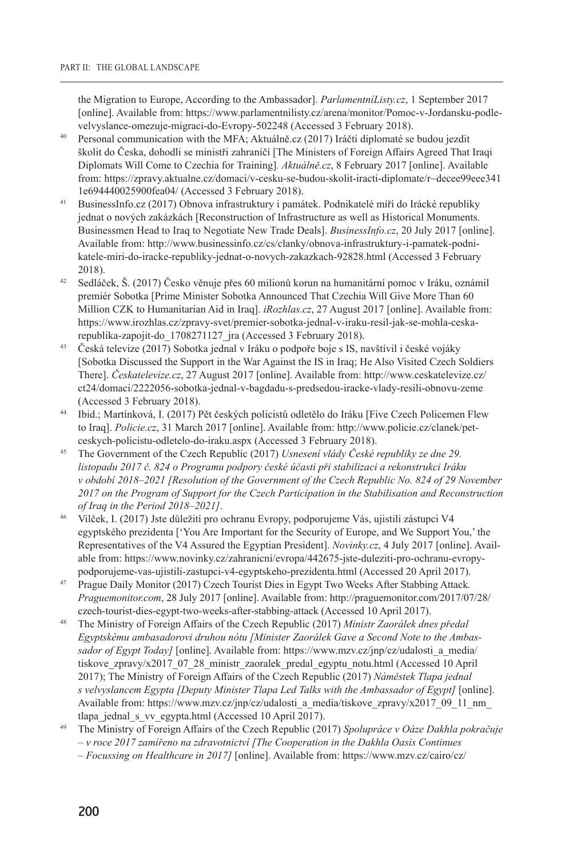the Migration to Europe, According to the Ambassador]. *ParlamentníListy.cz*, 1 September 2017 [online]. Available from: https://www.parlamentnilisty.cz/arena/monitor/Pomoc-v-Jordansku-podlevelvyslance-omezuje-migraci-do-Evropy-502248 (Accessed 3 February 2018).

- <sup>40</sup> Personal communication with the MFA; Aktuálně.cz (2017) Iráčtí diplomaté se budou jezdit školit do Česka, dohodli se ministři zahraničí [The Ministers of Foreign Affairs Agreed That Iraqi Diplomats Will Come to Czechia for Training]*. Aktuálně.cz*, 8 February 2017 [online]. Available from: https://zpravy.aktualne.cz/domaci/v-cesku-se-budou-skolit-iracti-diplomate/r~decee99eee341 1e694440025900fea04/ (Accessed 3 February 2018).
- <sup>41</sup> BusinessInfo.cz (2017) Obnova infrastruktury i památek. Podnikatelé míří do Irácké republiky jednat o nových zakázkách [Reconstruction of Infrastructure as well as Historical Monuments. Businessmen Head to Iraq to Negotiate New Trade Deals]. *BusinessInfo.cz*, 20 July 2017 [online]. Available from: http://www.businessinfo.cz/cs/clanky/obnova-infrastruktury-i-pamatek-podnikatele-miri-do-iracke-republiky-jednat-o-novych-zakazkach-92828.html (Accessed 3 February 2018).
- <sup>42</sup> Sedláček, Š. (2017) Česko věnuje přes 60 milionů korun na humanitární pomoc v Iráku, oznámil premiér Sobotka [Prime Minister Sobotka Announced That Czechia Will Give More Than 60 Million CZK to Humanitarian Aid in Iraq]. *iRozhlas.cz*, 27 August 2017 [online]. Available from: https://www.irozhlas.cz/zpravy-svet/premier-sobotka-jednal-v-iraku-resil-jak-se-mohla-ceskarepublika-zapojit-do\_1708271127\_jra (Accessed 3 February 2018).
- <sup>43</sup> Česká televize (2017) Sobotka jednal v Iráku o podpoře boje s IS, navštívil i české vojáky [Sobotka Discussed the Support in the War Against the IS in Iraq; He Also Visited Czech Soldiers There]. *Českatelevize.cz*, 27 August 2017 [online]. Available from: http://www.ceskatelevize.cz/ ct24/domaci/2222056-sobotka-jednal-v-bagdadu-s-predsedou-iracke-vlady-resili-obnovu-zeme (Accessed 3 February 2018).
- <sup>44</sup> Ibid.; Martínková, I. (2017) Pět českých policistů odletělo do Iráku [Five Czech Policemen Flew to Iraq]. *Policie.cz*, 31 March 2017 [online]. Available from: http://www.policie.cz/clanek/petceskych-policistu-odletelo-do-iraku.aspx (Accessed 3 February 2018).
- <sup>45</sup> The Government of the Czech Republic (2017) *Usnesení vlády České republiky ze dne 29. listopadu 2017 č. 824 o Programu podpory české účasti při stabilizaci a rekonstrukci Iráku v období 2018–2021 [Resolution of the Government of the Czech Republic No. 824 of 29 November 2017 on the Program of Support for the Czech Participation in the Stabilisation and Reconstruction of Iraq in the Period 2018–2021]*.
- <sup>46</sup> Vilček, I. (2017) Jste důležití pro ochranu Evropy, podporujeme Vás, ujistili zástupci V4 egyptského prezidenta ['You Are Important for the Security of Europe, and We Support You,' the Representatives of the V4 Assured the Egyptian President]. *Novinky.cz*, 4 July 2017 [online]. Available from: https://www.novinky.cz/zahranicni/evropa/442675-jste-duleziti-pro-ochranu-evropypodporujeme-vas-ujistili-zastupci-v4-egyptskeho-prezidenta.html (Accessed 20 April 2017).
- <sup>47</sup> Prague Daily Monitor (2017) Czech Tourist Dies in Egypt Two Weeks After Stabbing Attack*. Praguemonitor.com*, 28 July 2017 [online]. Available from: http://praguemonitor.com/2017/07/28/ czech-tourist-dies-egypt-two-weeks-after-stabbing-attack (Accessed 10 April 2017).
- <sup>48</sup> The Ministry of Foreign Affairs of the Czech Republic (2017) *Ministr Zaorálek dnes předal Egyptskému ambasadorovi druhou nótu [Minister Zaorálek Gave a Second Note to the Ambassador of Egypt Today]* [online]. Available from: https://www.mzv.cz/jnp/cz/udalosti\_a\_media/ tiskove\_zpravy/x2017\_07\_28\_ministr\_zaoralek\_predal\_egyptu\_notu.html (Accessed 10 April 2017); The Ministry of Foreign Affairs of the Czech Republic (2017) *Náměstek Tlapa jednal s velvyslancem Egypta [Deputy Minister Tlapa Led Talks with the Ambassador of Egypt]* [online]. Available from: https://www.mzv.cz/jnp/cz/udalosti\_a\_media/tiskove\_zpravy/x2017\_09\_11\_nm tlapa\_jednal\_s\_vv\_egypta.html (Accessed 10 April 2017).
- <sup>49</sup> The Ministry of Foreign Affairs of the Czech Republic (2017) *Spolupráce v Oáze Dakhla pokračuje – v roce 2017 zamířeno na zdravotnictví [The Cooperation in the Dakhla Oasis Continues – Focussing on Healthcare in 2017]* [online]. Available from: https://www.mzv.cz/cairo/cz/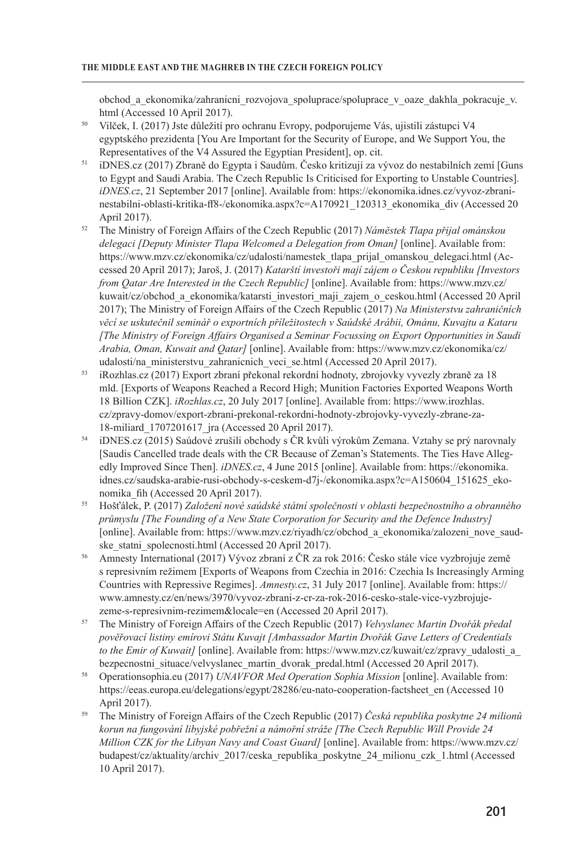obchod\_a\_ekonomika/zahranicni\_rozvojova\_spoluprace/spoluprace\_v\_oaze\_dakhla\_pokracuje\_v. html (Accessed 10 April 2017).

- <sup>50</sup> Vilček, I. (2017) Jste důležití pro ochranu Evropy, podporujeme Vás, ujistili zástupci V4 egyptského prezidenta [You Are Important for the Security of Europe, and We Support You, the Representatives of the V4 Assured the Egyptian President], op. cit.
- <sup>51</sup> iDNES.cz (2017) Zbraně do Egypta i Saudům. Česko kritizují za vývoz do nestabilních zemí [Guns to Egypt and Saudi Arabia. The Czech Republic Is Criticised for Exporting to Unstable Countries]*. iDNES.cz*, 21 September 2017 [online]. Available from: https://ekonomika.idnes.cz/vyvoz-zbraninestabilni-oblasti-kritika-ff8-/ekonomika.aspx?c=A170921\_120313\_ekonomika\_div (Accessed 20 April 2017).
- <sup>52</sup> The Ministry of Foreign Affairs of the Czech Republic (2017) *Náměstek Tlapa přijal ománskou delegaci [Deputy Minister Tlapa Welcomed a Delegation from Oman]* [online]. Available from: https://www.mzv.cz/ekonomika/cz/udalosti/namestek\_tlapa\_prijal\_omanskou\_delegaci.html (Accessed 20 April 2017); Jaroš, J. (2017) *Katarští investoři mají zájem o Českou republiku [Investors from Qatar Are Interested in the Czech Republic]* [online]. Available from: https://www.mzv.cz/ kuwait/cz/obchod\_a\_ekonomika/katarsti\_investori\_maji\_zajem\_o\_ceskou.html (Accessed 20 April 2017); The Ministry of Foreign Affairs of the Czech Republic (2017) *Na Ministerstvu zahraničních věcí se uskutečnil seminář o exportních příležitostech v Saúdské Arábii, Ománu, Kuvajtu a Kataru [The Ministry of Foreign Affairs Organised a Seminar Focussing on Export Opportunities in Saudi Arabia, Oman, Kuwait and Qatar]* [online]. Available from: https://www.mzv.cz/ekonomika/cz/ udalosti/na\_ministerstvu\_zahranicnich\_veci\_se.html (Accessed 20 April 2017).
- <sup>53</sup> iRozhlas.cz (2017) Export zbraní překonal rekordní hodnoty, zbrojovky vyvezly zbraně za 18 mld. [Exports of Weapons Reached a Record High; Munition Factories Exported Weapons Worth 18 Billion CZK]. *iRozhlas.cz*, 20 July 2017 [online]. Available from: https://www.irozhlas. cz/zpravy-domov/export-zbrani-prekonal-rekordni-hodnoty-zbrojovky-vyvezly-zbrane-za-18-miliard\_1707201617\_jra (Accessed 20 April 2017).
- <sup>54</sup> iDNES.cz (2015) Saúdové zrušili obchody s ČR kvůli výrokům Zemana. Vztahy se prý narovnaly [Saudis Cancelled trade deals with the CR Because of Zeman's Statements. The Ties Have Allegedly Improved Since Then]. *iDNES.cz*, 4 June 2015 [online]. Available from: https://ekonomika. idnes.cz/saudska-arabie-rusi-obchody-s-ceskem-d7j-/ekonomika.aspx?c=A150604\_151625\_ekonomika\_fih (Accessed 20 April 2017).
- <sup>55</sup> Hošťálek, P. (2017) *Založení nové saúdské státní společnosti v oblasti bezpečnostního a obranného průmyslu [The Founding of a New State Corporation for Security and the Defence Industry]* [online]. Available from: https://www.mzv.cz/riyadh/cz/obchod\_a\_ekonomika/zalozeni\_nove\_saudske statni spolecnosti.html (Accessed 20 April 2017).
- <sup>56</sup> Amnesty International (2017) Vývoz zbraní z ČR za rok 2016: Česko stále více vyzbrojuje země s represivním režimem [Exports of Weapons from Czechia in 2016: Czechia Is Increasingly Arming Countries with Repressive Regimes]. *Amnesty.cz*, 31 July 2017 [online]. Available from: https:// www.amnesty.cz/en/news/3970/vyvoz-zbrani-z-cr-za-rok-2016-cesko-stale-vice-vyzbrojujezeme-s-represivnim-rezimem&locale=en (Accessed 20 April 2017).
- <sup>57</sup> The Ministry of Foreign Affairs of the Czech Republic (2017) *Velvyslanec Martin Dvořák předal pověřovací listiny emírovi Státu Kuvajt [Ambassador Martin Dvořák Gave Letters of Credentials to the Emir of Kuwait*] [online]. Available from: https://www.mzv.cz/kuwait/cz/zpravy\_udalosti\_a bezpecnostni\_situace/velvyslanec\_martin\_dvorak\_predal.html (Accessed 20 April 2017).
- <sup>58</sup> Operationsophia.eu (2017) *UNAVFOR Med Operation Sophia Mission* [online]. Available from: https://eeas.europa.eu/delegations/egypt/28286/eu-nato-cooperation-factsheet en (Accessed 10 April 2017).
- <sup>59</sup> The Ministry of Foreign Affairs of the Czech Republic (2017) *Česká republika poskytne 24 milionů korun na fungování libyjské pobřežní a námořní stráže [The Czech Republic Will Provide 24 Million CZK for the Libyan Navy and Coast Guard]* [online]. Available from: https://www.mzv.cz/ budapest/cz/aktuality/archiv\_2017/ceska\_republika\_poskytne\_24\_milionu\_czk\_1.html (Accessed 10 April 2017).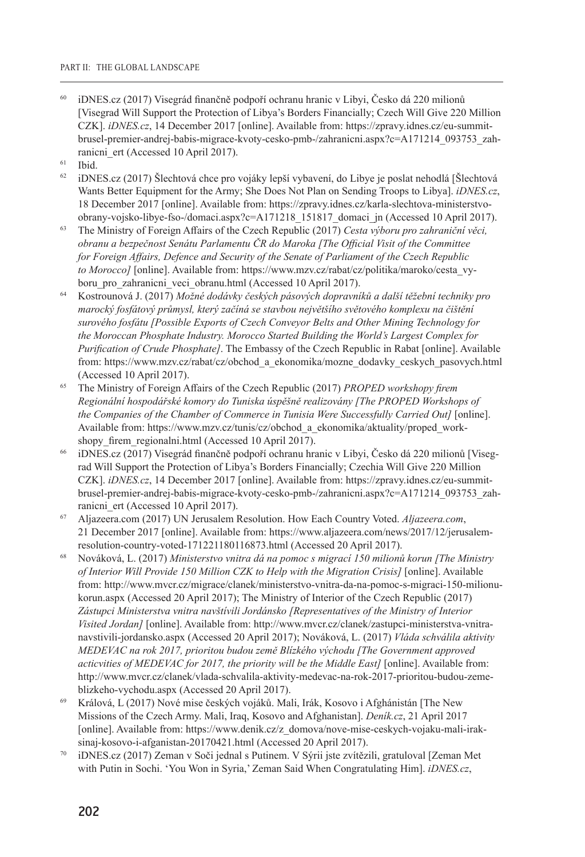- <sup>60</sup> iDNES.cz (2017) Visegrád finančně podpoří ochranu hranic v Libyi, Česko dá 220 milionů [Visegrad Will Support the Protection of Libya's Borders Financially; Czech Will Give 220 Million CZK]. *iDNES.cz*, 14 December 2017 [online]. Available from: https://zpravy.idnes.cz/eu-summitbrusel-premier-andrej-babis-migrace-kvoty-cesko-pmb-/zahranicni.aspx?c=A171214\_093753\_zahranicni ert (Accessed 10 April 2017).
- $61$  Ibid.
- $62$  iDNES.cz (2017) Šlechtová chce pro vojáky lepší vybavení, do Libye je poslat nehodlá [Šlechtová Wants Better Equipment for the Army; She Does Not Plan on Sending Troops to Libya]. *iDNES.cz*, 18 December 2017 [online]. Available from: https://zpravy.idnes.cz/karla-slechtova-ministerstvoobrany-vojsko-libye-fso-/domaci.aspx?c=A171218\_151817\_domaci\_jn (Accessed 10 April 2017).
- <sup>63</sup> The Ministry of Foreign Affairs of the Czech Republic (2017) *Cesta výboru pro zahraniční věci, obranu a bezpečnost Senátu Parlamentu ČR do Maroka [The Official Visit of the Committee for Foreign Affairs, Defence and Security of the Senate of Parliament of the Czech Republic to Morocco]* [online]. Available from: https://www.mzv.cz/rabat/cz/politika/maroko/cesta\_vyboru pro zahranicni veci obranu.html (Accessed 10 April 2017).
- <sup>64</sup> Kostrounová J. (2017) *Možné dodávky českých pásových dopravníků a další těžební techniky pro marocký fosfátový průmysl, který začíná se stavbou největšího světového komplexu na čištění surového fosfátu [Possible Exports of Czech Conveyor Belts and Other Mining Technology for the Moroccan Phosphate Industry. Morocco Started Building the World's Largest Complex for Purification of Crude Phosphate]*. The Embassy of the Czech Republic in Rabat [online]. Available from: https://www.mzv.cz/rabat/cz/obchod\_a\_ekonomika/mozne\_dodavky\_ceskych\_pasovych.html (Accessed 10 April 2017).
- <sup>65</sup> The Ministry of Foreign Affairs of the Czech Republic (2017) *PROPED workshopy firem Regionální hospodářské komory do Tuniska úspěšně realizovány [The PROPED Workshops of the Companies of the Chamber of Commerce in Tunisia Were Successfully Carried Out]* [online]. Available from: https://www.mzv.cz/tunis/cz/obchod\_a\_ekonomika/aktuality/proped\_workshopy firem regionalni.html (Accessed 10 April 2017).
- <sup>66</sup> iDNES.cz (2017) Visegrád finančně podpoří ochranu hranic v Libyi, Česko dá 220 milionů [Visegrad Will Support the Protection of Libya's Borders Financially; Czechia Will Give 220 Million CZK]. *iDNES.cz*, 14 December 2017 [online]. Available from: https://zpravy.idnes.cz/eu-summitbrusel-premier-andrej-babis-migrace-kvoty-cesko-pmb-/zahranicni.aspx?c=A171214\_093753\_zahranicni ert (Accessed 10 April 2017).
- <sup>67</sup> Aljazeera.com (2017) UN Jerusalem Resolution. How Each Country Voted. *Aljazeera.com*, 21 December 2017 [online]. Available from: https://www.aljazeera.com/news/2017/12/jerusalemresolution-country-voted-171221180116873.html (Accessed 20 April 2017).
- <sup>68</sup> Nováková, L. (2017) *Ministerstvo vnitra dá na pomoc s migrací 150 milionů korun [The Ministry of Interior Will Provide 150 Million CZK to Help with the Migration Crisis]* [online]. Available from: http://www.mvcr.cz/migrace/clanek/ministerstvo-vnitra-da-na-pomoc-s-migraci-150-milionukorun.aspx (Accessed 20 April 2017); The Ministry of Interior of the Czech Republic (2017) *Zástupci Ministerstva vnitra navštívili Jordánsko [Representatives of the Ministry of Interior Visited Jordan]* [online]. Available from: http://www.mvcr.cz/clanek/zastupci-ministerstva-vnitranavstivili-jordansko.aspx (Accessed 20 April 2017); Nováková, L. (2017) *Vláda schválila aktivity MEDEVAC na rok 2017, prioritou budou země Blízkého východu [The Government approved acticvities of MEDEVAC for 2017, the priority will be the Middle East]* [online]. Available from: http://www.mvcr.cz/clanek/vlada-schvalila-aktivity-medevac-na-rok-2017-prioritou-budou-zemeblizkeho-vychodu.aspx (Accessed 20 April 2017).
- <sup>69</sup> Králová, L (2017) Nové mise českých vojáků. Mali, Irák, Kosovo i Afghánistán [The New Missions of the Czech Army. Mali, Iraq, Kosovo and Afghanistan]. *Deník.cz*, 21 April 2017 [online]. Available from: https://www.denik.cz/z\_domova/nove-mise-ceskych-vojaku-mali-iraksinaj-kosovo-i-afganistan-20170421.html (Accessed 20 April 2017).
- <sup>70</sup> iDNES.cz (2017) Zeman v Soči jednal s Putinem. V Sýrii jste zvítězili, gratuloval [Zeman Met with Putin in Sochi. 'You Won in Syria,' Zeman Said When Congratulating Him]. *iDNES.cz*,